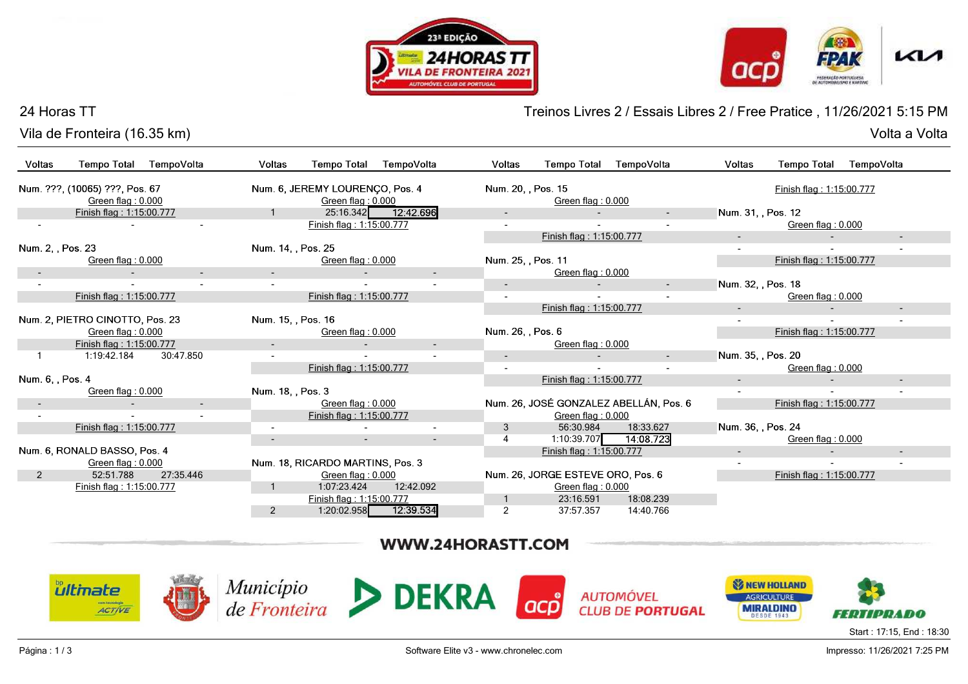



Volta a Volta

### 24 Horas TT

Vila de Fronteira (16.35 km)Volta a Volta

Treinos Livres 2 / Essais Libres 2 / Free Pratice , 11/26/2021 5:15 PM

| Voltas            | <b>Tempo Total</b>              | TempoVolta               | Voltas                   | <b>Tempo Total</b>               | TempoVolta               | Voltas                   | <b>Tempo Total</b>                | TempoVolta                             | Voltas             | <b>Tempo Total</b>       | TempoVolta               |
|-------------------|---------------------------------|--------------------------|--------------------------|----------------------------------|--------------------------|--------------------------|-----------------------------------|----------------------------------------|--------------------|--------------------------|--------------------------|
|                   |                                 |                          |                          |                                  |                          |                          |                                   |                                        |                    |                          |                          |
|                   | Num. ???, (10065) ???, Pos. 67  |                          |                          | Num. 6, JEREMY LOURENCO, Pos. 4  |                          |                          | Num. 20, , Pos. 15                |                                        |                    | Finish flag: 1:15:00.777 |                          |
|                   | Green flag: 0.000               |                          |                          | Green flag: 0.000                |                          |                          | Green flag: 0.000                 |                                        |                    |                          |                          |
|                   | Finish flag: 1:15:00.777        |                          |                          |                                  | 25:16.342 12:42.696      | $\overline{\phantom{a}}$ |                                   |                                        | Num. 31, , Pos. 12 |                          |                          |
|                   |                                 |                          |                          | Finish flag: 1:15:00.777         |                          |                          |                                   |                                        |                    | Green flag: 0.000        |                          |
|                   |                                 |                          |                          |                                  |                          |                          | Finish flag: 1:15:00.777          |                                        | $\sim$             |                          | $\sim$                   |
| Num. 2, , Pos. 23 |                                 |                          | Num. 14, , Pos. 25       |                                  |                          |                          |                                   |                                        |                    |                          |                          |
|                   | Green flag: 0.000               |                          |                          | Green flag: 0.000                |                          | Num. 25, , Pos. 11       |                                   |                                        |                    | Finish flag: 1:15:00.777 |                          |
|                   |                                 | $\overline{\phantom{a}}$ |                          |                                  | $\overline{\phantom{a}}$ |                          | Green flag: 0.000                 |                                        |                    |                          |                          |
|                   |                                 |                          | $\sim$                   |                                  |                          | $\overline{\phantom{a}}$ |                                   | $\sim$                                 | Num. 32, , Pos. 18 |                          |                          |
|                   | Finish flag: 1:15:00.777        |                          |                          | Finish flag: 1:15:00.777         |                          | $\overline{\phantom{a}}$ |                                   |                                        |                    | Green flag: 0.000        |                          |
|                   |                                 |                          |                          |                                  |                          |                          | Finish flag: 1:15:00.777          |                                        |                    |                          | $\overline{\phantom{a}}$ |
|                   | Num. 2, PIETRO CINOTTO, Pos. 23 |                          | Num. 15, , Pos. 16       |                                  |                          |                          |                                   |                                        |                    |                          |                          |
|                   | Green flag: 0.000               |                          |                          | Green flag: 0.000                |                          | Num. 26, , Pos. 6        |                                   |                                        |                    | Finish flag: 1:15:00.777 |                          |
|                   | Finish flag: 1:15:00.777        |                          | $\sim$                   |                                  | $\overline{\phantom{a}}$ |                          | Green flag: 0.000                 |                                        |                    |                          |                          |
|                   | 1:19:42.184                     | 30:47.850                | $\overline{\phantom{a}}$ |                                  | $\sim$                   | $\sim$                   | $\sim$                            | $\sim$                                 | Num. 35, , Pos. 20 |                          |                          |
|                   |                                 |                          |                          | Finish flag: 1:15:00.777         |                          | $\sim$                   |                                   |                                        |                    | Green flag: 0.000        |                          |
| Num. 6, , Pos. 4  |                                 |                          |                          |                                  |                          |                          | Finish flag: 1:15:00.777          |                                        | $\sim$             |                          | $\sim$                   |
|                   | Green flag: 0.000               |                          | Num. 18, Pos. 3          |                                  |                          |                          |                                   |                                        |                    |                          |                          |
|                   |                                 | $\sim$                   |                          | Green flag: 0.000                |                          |                          |                                   | Num. 26, JOSÉ GONZALEZ ABELLÁN, Pos. 6 |                    | Finish flag: 1:15:00.777 |                          |
|                   |                                 |                          |                          | Finish flag: 1:15:00.777         |                          |                          | Green flag: 0.000                 |                                        |                    |                          |                          |
|                   | Finish flag: 1:15:00.777        |                          |                          |                                  |                          | 3                        | 56:30.984                         | 18:33.627                              | Num. 36, , Pos. 24 |                          |                          |
|                   |                                 |                          |                          |                                  | $\overline{\phantom{a}}$ | 4                        | 1:10:39.707                       | 14:08.723                              |                    | Green flag: 0.000        |                          |
|                   | Num. 6, RONALD BASSO, Pos. 4    |                          |                          |                                  |                          |                          | Finish flag: 1:15:00.777          |                                        |                    |                          |                          |
|                   | Green flag: 0.000               |                          |                          | Num. 18, RICARDO MARTINS, Pos. 3 |                          |                          |                                   |                                        |                    |                          |                          |
| $\overline{2}$    | 52:51.788                       | 27:35.446                |                          | Green flag: 0.000                |                          |                          | Num. 26, JORGE ESTEVE ORO, Pos. 6 |                                        |                    | Finish flag: 1:15:00.777 |                          |
|                   | Finish flag: 1:15:00.777        |                          |                          | 1:07:23.424                      | 12:42.092                |                          | Green flag: 0.000                 |                                        |                    |                          |                          |
|                   |                                 |                          |                          | Finish flag: 1:15:00.777         |                          |                          | 23:16.591                         | 18:08.239                              |                    |                          |                          |
|                   |                                 |                          | $\overline{2}$           | 1:20:02.958                      | 12:39.534                | $\overline{2}$           | 37:57.357                         | 14:40.766                              |                    |                          |                          |

# WWW.24HORASTT.COM

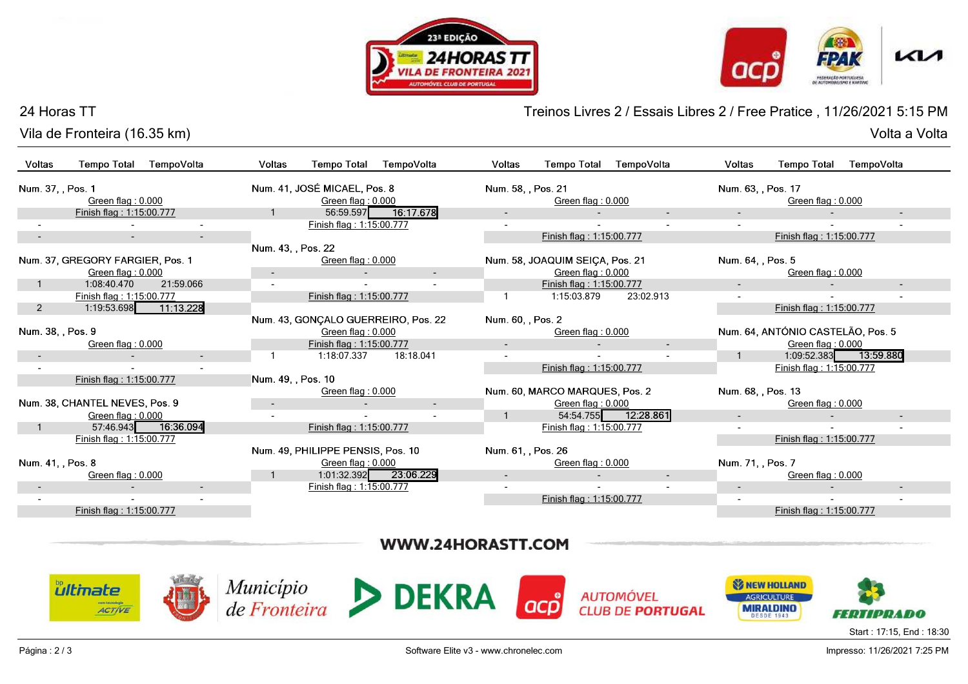





Volta a Volta

### 24 Horas TT

Vila de Fronteira (16.35 km)

Treinos Livres 2 / Essais Libres 2 / Free Pratice , 11/26/2021 5:15 PM

|                          | Vila de Fronteira (16.35 km)     |                |                    |                                     |                     |                    |                                 |                          |                    |                                   | Volta a Volta            |  |  |
|--------------------------|----------------------------------|----------------|--------------------|-------------------------------------|---------------------|--------------------|---------------------------------|--------------------------|--------------------|-----------------------------------|--------------------------|--|--|
| <b>Voltas</b>            | <b>Tempo Total</b>               | TempoVolta     | <b>Voltas</b>      | <b>Tempo Total</b>                  | TempoVolta          | Voltas             | <b>Tempo Total</b>              | TempoVolta               | Voltas             | <b>Tempo Total</b>                | TempoVolta               |  |  |
| Num. 37, , Pos. 1        |                                  |                |                    | Num. 41, JOSÉ MICAEL, Pos. 8        |                     |                    | Num. 58, , Pos. 21              |                          |                    | Num. 63, , Pos. 17                |                          |  |  |
|                          | Green flag: 0.000                |                |                    | Green flag: 0.000                   |                     |                    | Green flag: 0.000               |                          |                    | Green flag: 0.000                 |                          |  |  |
|                          | Finish flag: 1:15:00.777         |                |                    |                                     | 56:59.597 16:17.678 |                    |                                 |                          |                    |                                   |                          |  |  |
|                          |                                  | $\blacksquare$ |                    | Finish flag: 1:15:00.777            |                     |                    |                                 |                          |                    |                                   |                          |  |  |
| $\overline{\phantom{a}}$ | $\sim$                           | $\sim$         |                    |                                     |                     |                    | Finish flag: 1:15:00.777        |                          |                    | Finish flag: 1:15:00.777          |                          |  |  |
|                          |                                  |                | Num. 43, , Pos. 22 |                                     |                     |                    |                                 |                          |                    |                                   |                          |  |  |
|                          | Num. 37, GREGORY FARGIER, Pos. 1 |                |                    | Green flag: 0.000                   |                     |                    | Num. 58, JOAQUIM SEIÇA, Pos. 21 |                          | Num. 64, , Pos. 5  |                                   |                          |  |  |
|                          | Green flag: 0.000                |                |                    |                                     |                     |                    | Green flag: 0.000               |                          |                    | Green flag: 0.000                 |                          |  |  |
|                          | 1:08:40.470                      | 21:59.066      |                    |                                     |                     |                    | Finish flag: 1:15:00.777        |                          |                    |                                   | $\overline{\phantom{a}}$ |  |  |
|                          | Finish flag: 1:15:00.777         |                |                    | Finish flag: 1:15:00.777            |                     |                    | 1:15:03.879                     | 23:02.913                |                    |                                   |                          |  |  |
| $\overline{2}$           | 1:19:53.698   11:13.228          |                |                    |                                     |                     |                    |                                 |                          |                    | Finish flag: 1:15:00.777          |                          |  |  |
|                          |                                  |                |                    | Num. 43, GONÇALO GUERREIRO, Pos. 22 |                     | Num. 60, , Pos. 2  |                                 |                          |                    |                                   |                          |  |  |
| Num. 38, , Pos. 9        |                                  |                |                    | Green flag: 0.000                   |                     |                    | Green flag: 0.000               |                          |                    | Num. 64, ANTÓNIO CASTELÃO, Pos. 5 |                          |  |  |
|                          | Green flag: 0.000                |                |                    | Finish flag: 1:15:00.777            |                     | $\blacksquare$     |                                 | $\overline{\phantom{a}}$ |                    | Green flag: 0.000                 |                          |  |  |
|                          |                                  | $\sim$         |                    | 1:18:07.337                         | 18:18.041           |                    |                                 |                          | $\overline{1}$     | 1:09:52.383                       | 13:59.880                |  |  |
|                          |                                  |                |                    |                                     |                     |                    | Finish flag: 1:15:00.777        |                          |                    | Finish flag: 1:15:00.777          |                          |  |  |
|                          | Finish flag: 1:15:00.777         |                | Num. 49, , Pos. 10 |                                     |                     |                    |                                 |                          |                    |                                   |                          |  |  |
|                          |                                  |                |                    | Green flag: 0.000                   |                     |                    | Num. 60, MARCO MARQUES, Pos. 2  |                          | Num. 68, , Pos. 13 |                                   |                          |  |  |
|                          | Num. 38, CHANTEL NEVES, Pos. 9   |                | $\sim$             |                                     | $\blacksquare$      |                    | Green flag: 0.000               |                          |                    | Green flag: 0.000                 |                          |  |  |
|                          | Green flag: 0.000                |                |                    |                                     |                     |                    | 54:54.755                       | 12:28.861                |                    |                                   | $\overline{\phantom{a}}$ |  |  |
|                          | 57:46.943                        | 16:36.094      |                    | Finish flag: 1:15:00.777            |                     |                    | Finish flag: 1:15:00.777        |                          |                    |                                   |                          |  |  |
|                          | Finish flag: 1:15:00.777         |                |                    |                                     |                     |                    |                                 |                          |                    | Finish flag: 1:15:00.777          |                          |  |  |
|                          |                                  |                |                    | Num. 49, PHILIPPE PENSIS, Pos. 10   |                     | Num. 61. , Pos. 26 |                                 |                          |                    |                                   |                          |  |  |
| Num. 41, , Pos. 8        |                                  |                |                    | Green flag: 0.000                   |                     |                    | Green flag: 0.000               |                          | Num. 71, , Pos. 7  |                                   |                          |  |  |
|                          | Green flag: 0.000                |                |                    | 1:01:32.392 23:06.229               |                     |                    |                                 | $\overline{\phantom{a}}$ |                    | Green flag: 0.000                 |                          |  |  |
|                          |                                  |                |                    | Finish flag: 1:15:00.777            |                     |                    |                                 |                          |                    |                                   |                          |  |  |
|                          |                                  |                |                    |                                     |                     |                    | Finish flag: 1:15:00.777        |                          |                    |                                   |                          |  |  |
|                          | Finish flag: 1:15:00.777         |                |                    |                                     |                     |                    |                                 |                          |                    | Finish flag: 1:15:00.777          |                          |  |  |
|                          |                                  |                |                    |                                     |                     |                    |                                 |                          |                    |                                   |                          |  |  |

## WWW.24HORASTT.COM



Impresso: 11/26/2021 7:25 PM